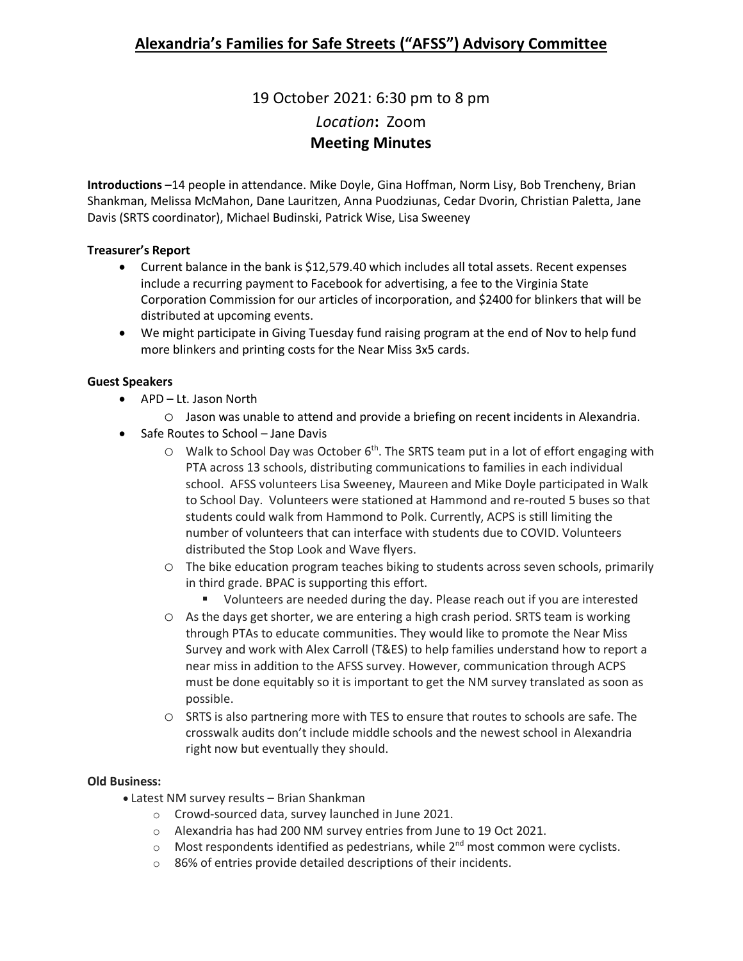19 October 2021: 6:30 pm to 8 pm *Location***:** Zoom **Meeting Minutes**

**Introductions** –14 people in attendance. Mike Doyle, Gina Hoffman, Norm Lisy, Bob Trencheny, Brian Shankman, Melissa McMahon, Dane Lauritzen, Anna Puodziunas, Cedar Dvorin, Christian Paletta, Jane Davis (SRTS coordinator), Michael Budinski, Patrick Wise, Lisa Sweeney

## **Treasurer's Report**

- Current balance in the bank is \$12,579.40 which includes all total assets. Recent expenses include a recurring payment to Facebook for advertising, a fee to the Virginia State Corporation Commission for our articles of incorporation, and \$2400 for blinkers that will be distributed at upcoming events.
- We might participate in Giving Tuesday fund raising program at the end of Nov to help fund more blinkers and printing costs for the Near Miss 3x5 cards.

# **Guest Speakers**

- APD Lt. Jason North
	- o Jason was unable to attend and provide a briefing on recent incidents in Alexandria.
- Safe Routes to School Jane Davis
	- $\circ$  Walk to School Day was October 6<sup>th</sup>. The SRTS team put in a lot of effort engaging with PTA across 13 schools, distributing communications to families in each individual school. AFSS volunteers Lisa Sweeney, Maureen and Mike Doyle participated in Walk to School Day. Volunteers were stationed at Hammond and re-routed 5 buses so that students could walk from Hammond to Polk. Currently, ACPS is still limiting the number of volunteers that can interface with students due to COVID. Volunteers distributed the Stop Look and Wave flyers.
	- o The bike education program teaches biking to students across seven schools, primarily in third grade. BPAC is supporting this effort.
		- Volunteers are needed during the day. Please reach out if you are interested
	- o As the days get shorter, we are entering a high crash period. SRTS team is working through PTAs to educate communities. They would like to promote the Near Miss Survey and work with Alex Carroll (T&ES) to help families understand how to report a near miss in addition to the AFSS survey. However, communication through ACPS must be done equitably so it is important to get the NM survey translated as soon as possible.
	- o SRTS is also partnering more with TES to ensure that routes to schools are safe. The crosswalk audits don't include middle schools and the newest school in Alexandria right now but eventually they should.

## **Old Business:**

- Latest NM survey results Brian Shankman
	- o Crowd-sourced data, survey launched in June 2021.
	- o Alexandria has had 200 NM survey entries from June to 19 Oct 2021.
	- $\circ$  Most respondents identified as pedestrians, while 2<sup>nd</sup> most common were cyclists.
	- o 86% of entries provide detailed descriptions of their incidents.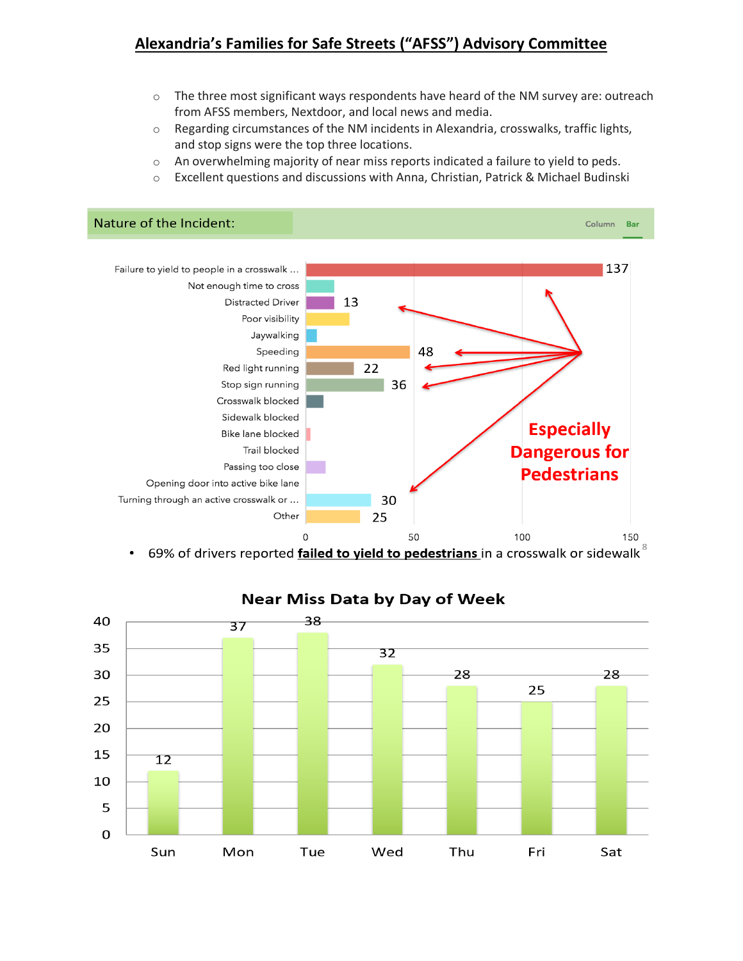# **Alexandria's Families for Safe Streets ("AFSS") Advisory Committee**

- $\circ$  The three most significant ways respondents have heard of the NM survey are: outreach from AFSS members, Nextdoor, and local news and media.
- $\circ$  Regarding circumstances of the NM incidents in Alexandria, crosswalks, traffic lights, and stop signs were the top three locations.
- $\circ$  An overwhelming majority of near miss reports indicated a failure to yield to peds.
- $\circ$  Excellent questions and discussions with Anna, Christian, Patrick & Michael Budinski







# **Near Miss Data by Day of Week**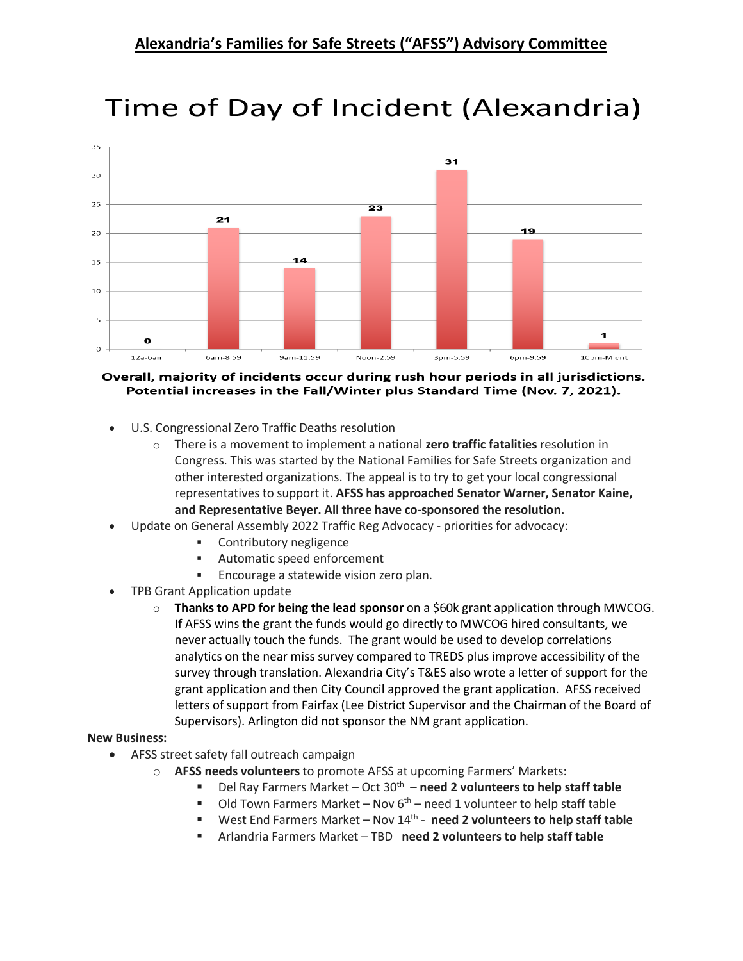

# Time of Day of Incident (Alexandria)

#### Overall, majority of incidents occur during rush hour periods in all jurisdictions. Potential increases in the Fall/Winter plus Standard Time (Nov. 7, 2021).

- U.S. Congressional Zero Traffic Deaths resolution
	- o There is a movement to implement a national **zero traffic fatalities** resolution in Congress. This was started by the National Families for Safe Streets organization and other interested organizations. The appeal is to try to get your local congressional representatives to support it. **AFSS has approached Senator Warner, Senator Kaine, and Representative Beyer. All three have co-sponsored the resolution.**
- Update on General Assembly 2022 Traffic Reg Advocacy priorities for advocacy:
	- **EXECONTRET** Contributory negligence
	- Automatic speed enforcement
	- **Encourage a statewide vision zero plan.**
- TPB Grant Application update
	- o **Thanks to APD for being the lead sponsor** on a \$60k grant application through MWCOG. If AFSS wins the grant the funds would go directly to MWCOG hired consultants, we never actually touch the funds. The grant would be used to develop correlations analytics on the near miss survey compared to TREDS plus improve accessibility of the survey through translation. Alexandria City's T&ES also wrote a letter of support for the grant application and then City Council approved the grant application. AFSS received letters of support from Fairfax (Lee District Supervisor and the Chairman of the Board of Supervisors). Arlington did not sponsor the NM grant application.

### **New Business:**

- AFSS street safety fall outreach campaign
	- o **AFSS needs volunteers** to promote AFSS at upcoming Farmers' Markets:
		- Del Ray Farmers Market Oct 30th **need 2 volunteers to help staff table**
		- $\blacksquare$  Old Town Farmers Market Nov 6<sup>th</sup> need 1 volunteer to help staff table
		- West End Farmers Market Nov 14<sup>th</sup> **need 2 volunteers to help staff table**
		- Arlandria Farmers Market TBD **need 2 volunteers to help staff table**